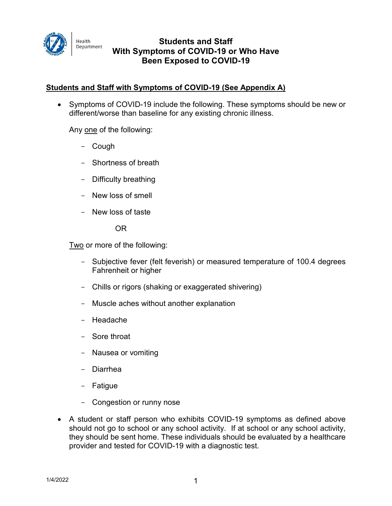

# **Students and Staff With Symptoms of COVID-19 or Who Have Been Exposed to COVID-19**

# **Students and Staff with Symptoms of COVID-19 (See Appendix A)**

• Symptoms of COVID-19 include the following. These symptoms should be new or different/worse than baseline for any existing chronic illness.

Any one of the following:

- Cough
- Shortness of breath
- Difficulty breathing
- New loss of smell
- New loss of taste

OR

Two or more of the following:

- Subjective fever (felt feverish) or measured temperature of 100.4 degrees Fahrenheit or higher
- Chills or rigors (shaking or exaggerated shivering)
- Muscle aches without another explanation
- Headache
- Sore throat
- Nausea or vomiting
- Diarrhea
- Fatigue
- Congestion or runny nose
- A student or staff person who exhibits COVID-19 symptoms as defined above should not go to school or any school activity. If at school or any school activity, they should be sent home. These individuals should be evaluated by a healthcare provider and tested for COVID-19 with a diagnostic test.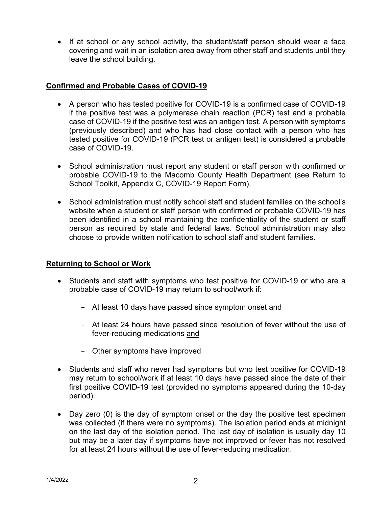• If at school or any school activity, the student/staff person should wear a face covering and wait in an isolation area away from other staff and students until they leave the school building.

### **Confirmed and Probable Cases of COVID-19**

- A person who has tested positive for COVID-19 is a confirmed case of COVID-19 if the positive test was a polymerase chain reaction (PCR) test and a probable case of COVID-19 if the positive test was an antigen test. A person with symptoms (previously described) and who has had close contact with a person who has tested positive for COVID-19 (PCR test or antigen test) is considered a probable case of COVID-19.
- School administration must report any student or staff person with confirmed or probable COVID-19 to the Macomb County Health Department (see Return to School Toolkit, Appendix C, COVID-19 Report Form).
- School administration must notify school staff and student families on the school's website when a student or staff person with confirmed or probable COVID-19 has been identified in a school maintaining the confidentiality of the student or staff person as required by state and federal laws. School administration may also choose to provide written notification to school staff and student families.

#### **Returning to School or Work**

- Students and staff with symptoms who test positive for COVID-19 or who are a probable case of COVID-19 may return to school/work if:
	- At least 10 days have passed since symptom onset and
	- At least 24 hours have passed since resolution of fever without the use of fever-reducing medications and
	- Other symptoms have improved
- Students and staff who never had symptoms but who test positive for COVID-19 may return to school/work if at least 10 days have passed since the date of their first positive COVID-19 test (provided no symptoms appeared during the 10-day period).
- Day zero (0) is the day of symptom onset or the day the positive test specimen was collected (if there were no symptoms). The isolation period ends at midnight on the last day of the isolation period. The last day of isolation is usually day 10 but may be a later day if symptoms have not improved or fever has not resolved for at least 24 hours without the use of fever-reducing medication.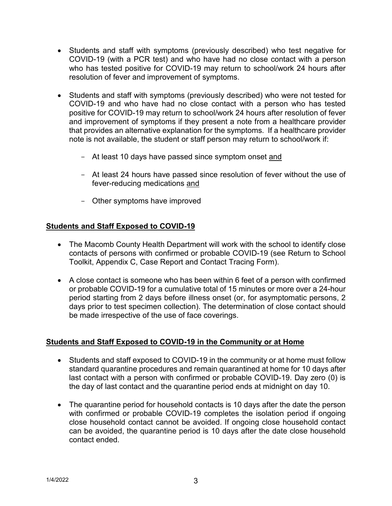- Students and staff with symptoms (previously described) who test negative for COVID-19 (with a PCR test) and who have had no close contact with a person who has tested positive for COVID-19 may return to school/work 24 hours after resolution of fever and improvement of symptoms.
- Students and staff with symptoms (previously described) who were not tested for COVID-19 and who have had no close contact with a person who has tested positive for COVID-19 may return to school/work 24 hours after resolution of fever and improvement of symptoms if they present a note from a healthcare provider that provides an alternative explanation for the symptoms. If a healthcare provider note is not available, the student or staff person may return to school/work if:
	- At least 10 days have passed since symptom onset and
	- At least 24 hours have passed since resolution of fever without the use of fever-reducing medications and
	- Other symptoms have improved

# **Students and Staff Exposed to COVID-19**

- The Macomb County Health Department will work with the school to identify close contacts of persons with confirmed or probable COVID-19 (see Return to School Toolkit, Appendix C, Case Report and Contact Tracing Form).
- A close contact is someone who has been within 6 feet of a person with confirmed or probable COVID-19 for a cumulative total of 15 minutes or more over a 24-hour period starting from 2 days before illness onset (or, for asymptomatic persons, 2 days prior to test specimen collection). The determination of close contact should be made irrespective of the use of face coverings.

#### **Students and Staff Exposed to COVID-19 in the Community or at Home**

- Students and staff exposed to COVID-19 in the community or at home must follow standard quarantine procedures and remain quarantined at home for 10 days after last contact with a person with confirmed or probable COVID-19. Day zero (0) is the day of last contact and the quarantine period ends at midnight on day 10.
- The quarantine period for household contacts is 10 days after the date the person with confirmed or probable COVID-19 completes the isolation period if ongoing close household contact cannot be avoided. If ongoing close household contact can be avoided, the quarantine period is 10 days after the date close household contact ended.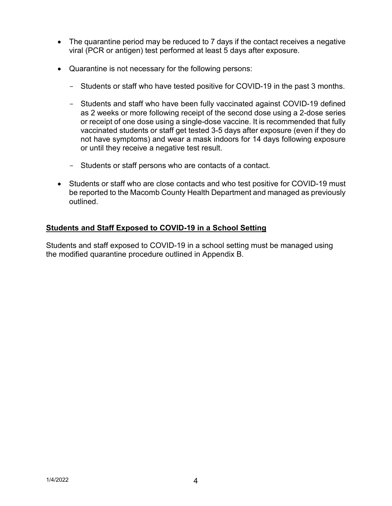- The quarantine period may be reduced to 7 days if the contact receives a negative viral (PCR or antigen) test performed at least 5 days after exposure.
- Quarantine is not necessary for the following persons:
	- Students or staff who have tested positive for COVID-19 in the past 3 months.
	- Students and staff who have been fully vaccinated against COVID-19 defined as 2 weeks or more following receipt of the second dose using a 2-dose series or receipt of one dose using a single-dose vaccine. It is recommended that fully vaccinated students or staff get tested 3-5 days after exposure (even if they do not have symptoms) and wear a mask indoors for 14 days following exposure or until they receive a negative test result.
	- Students or staff persons who are contacts of a contact.
- Students or staff who are close contacts and who test positive for COVID-19 must be reported to the Macomb County Health Department and managed as previously outlined.

# **Students and Staff Exposed to COVID-19 in a School Setting**

Students and staff exposed to COVID-19 in a school setting must be managed using the modified quarantine procedure outlined in Appendix B.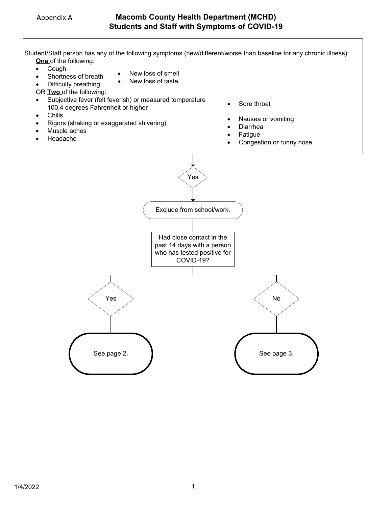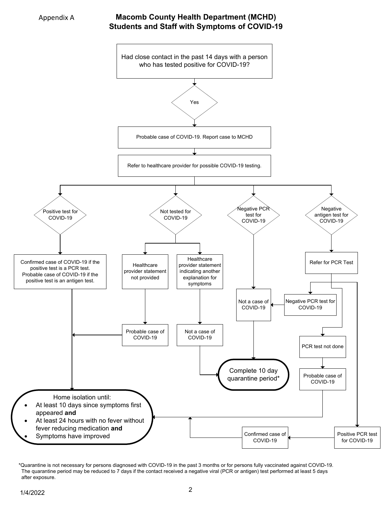

### **Macomb County Health Department (MCHD) Students and Staff with Symptoms of COVID-19**



<sup>\*</sup>Quarantine is not necessary for persons diagnosed with COVID-19 in the past 3 months or for persons fully vaccinated against COVID-19. The quarantine period may be reduced to 7 days if the contact received a negative viral (PCR or antigen) test performed at least 5 days after exposure.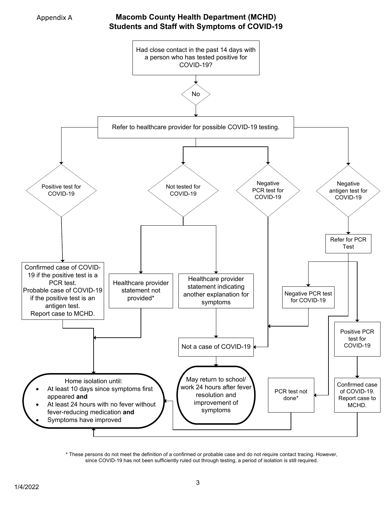

### **Macomb County Health Department (MCHD) Students and Staff with Symptoms of COVID-19**



\* These persons do not meet the definition of a confirmed or probable case and do not require contact tracing. However, since COVID-19 has not been sufficiently ruled out through testing, a period of isolation is still required.